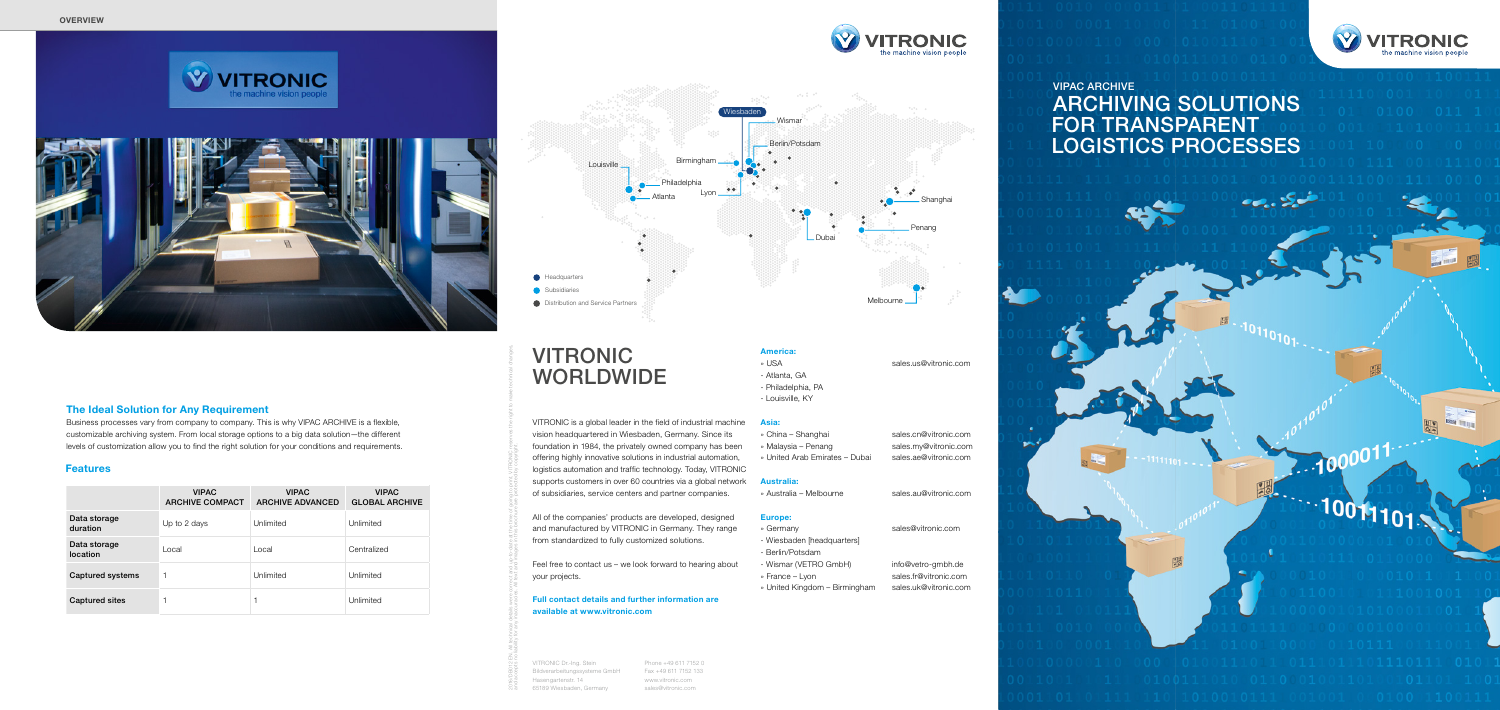

2016/DB012 EN. All technical details were correct and up-to-date at the time of going to print. VITRONIC reserves the right to make technical changes,

and accepts no liability for any inaccuracies. All text and images in this brochure are protected by copyright.

VITRONIC Dr.-Ing. Stein Bildverarbeitungssysteme GmbH Hasengartenstr. 14 65189 Wiesbaden, Germany

Phone +49 611 7152 0 Fax +49 611 7152 133 www.vitronic.com sales@vitronic.com



### America:

- Atlanta, GA
- Philadelphia, PA
- Louisville, KY

### Asia:

- » China Shanghai sales.cn@vitronic.com
- » Malaysia Penang sales.my@vitronic.com
- » United Arab Emirates Dubai sales.ae@vitronic.com

### Australia:

» Australia – Melbourne sales.au@vitronic.com

### Europe:

### » Germany sales@vitronic.com

» France – Lyon sales.fr@vitronic.com



- 
- Wiesbaden [headquarters]
- Berlin/Potsdam
- Wismar (VETRO GmbH) info@vetro-gmbh.de
- 
- » United Kingdom Birmingham sales.uk@vitronic.com

» USA sales.us@vitronic.com



VITRONIC is a global leader in the field of industrial machine vision headquartered in Wiesbaden, Germany. Since its foundation in 1984, the privately owned company has been offering highly innovative solutions in industrial automation, logistics automation and traffic technology. Today, VITRONIC supports customers in over 60 countries via a global network of subsidiaries, service centers and partner companies.

All of the companies' products are developed, designed and manufactured by VITRONIC in Germany. They range from standardized to fully customized solutions.

Feel free to contact us – we look forward to hearing about your projects.

Full contact details and further information are available at www.vitronic.com

# VITRONIC WORLDWIDE

|                          | <b>VIPAC</b><br><b>ARCHIVE COMPACT</b> | <b>VIPAC</b><br><b>ARCHIVE ADVANCED</b> | <b>VIPAC</b><br><b>GLOBAL ARCHIVE</b> |
|--------------------------|----------------------------------------|-----------------------------------------|---------------------------------------|
| Data storage<br>duration | Up to 2 days                           | Unlimited                               | Unlimited                             |
| Data storage<br>location | Local                                  | Local                                   | Centralized                           |
| Captured systems         | f                                      | Unlimited                               | Unlimited                             |
| <b>Captured sites</b>    |                                        |                                         | Unlimited                             |

### Features



### The Ideal Solution for Any Requirement

Business processes vary from company to company. This is why VIPAC ARCHIVE is a flexible, customizable archiving system. From local storage options to a big data solution—the different levels of customization allow you to find the right solution for your conditions and requirements.

### VIPAC ARCHIVE ARCHIVING SOLUTIONS FOR TRANSPARENT LOGISTICS PROCESSES

 $-11111101...$ 

嘿

# $10011101$

 $.1000011$ 

**Base The Line**